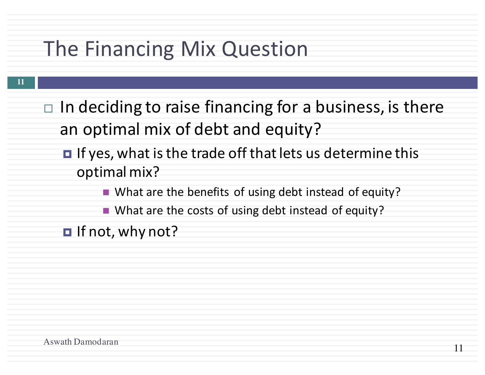### The Financing Mix Question

- **11**
- $\Box$  In deciding to raise financing for a business, is there an optimal mix of debt and equity?
	- $\blacksquare$  If yes, what is the trade off that lets us determine this optimal mix?
		- What are the benefits of using debt instead of equity?
		- What are the costs of using debt instead of equity?
	- $\blacksquare$  If not, why not?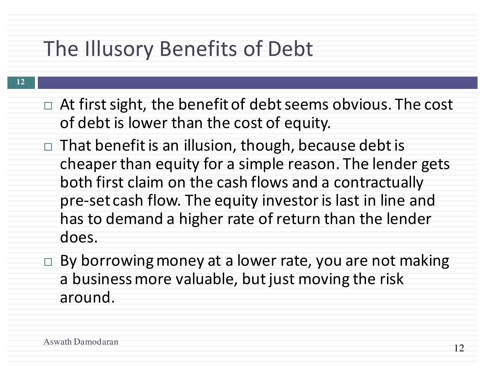## The Illusory Benefits of Debt

- $\Box$  At first sight, the benefit of debt seems obvious. The cost of debt is lower than the cost of equity.
	- $\Box$  That benefit is an illusion, though, because debt is cheaper than equity for a simple reason. The lender gets both first claim on the cash flows and a contractually pre-set cash flow. The equity investor is last in line and has to demand a higher rate of return than the lender does.
	- $\Box$  By borrowing money at a lower rate, you are not making a business more valuable, but just moving the risk around.

**12**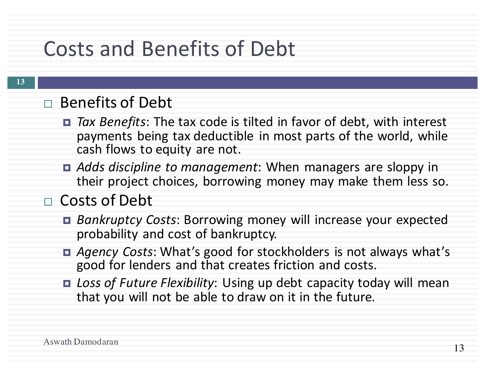## Costs and Benefits of Debt

#### □ Benefits of Debt

- *Tax Benefits*: The tax code is tilted in favor of debt, with interest payments being tax deductible in most parts of the world, while cash flows to equity are not.
- **□** *Adds discipline to management*: When managers are sloppy in their project choices, borrowing money may make them less so.

### □ Costs of Debt

- *Bankruptcy Costs*: Borrowing money will increase your expected probability and cost of bankruptcy.
- *Agency Costs*: What's good for stockholders is not always what's good for lenders and that creates friction and costs.
- Loss of Future Flexibility: Using up debt capacity today will mean that you will not be able to draw on it in the future.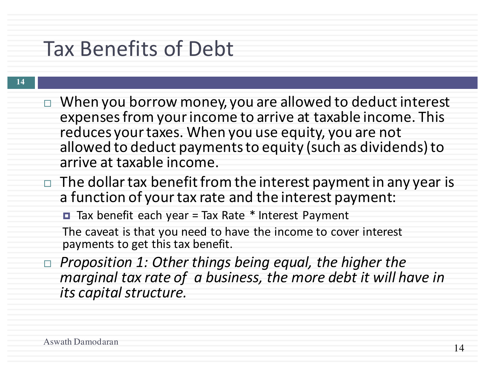### Tax Benefits of Debt

#### **14**

- $\Box$  When you borrow money, you are allowed to deduct interest expenses from your income to arrive at taxable income. This reduces your taxes. When you use equity, you are not allowed to deduct payments to equity (such as dividends) to arrive at taxable income.
- $\Box$  The dollar tax benefit from the interest payment in any year is a function of your tax rate and the interest payment:

■ Tax benefit each year = Tax Rate  $*$  Interest Payment

The caveat is that you need to have the income to cover interest payments to get this tax benefit.

□ Proposition 1: Other things being equal, the higher the *marginal tax rate of a business, the more debt it will have in its capital structure.*